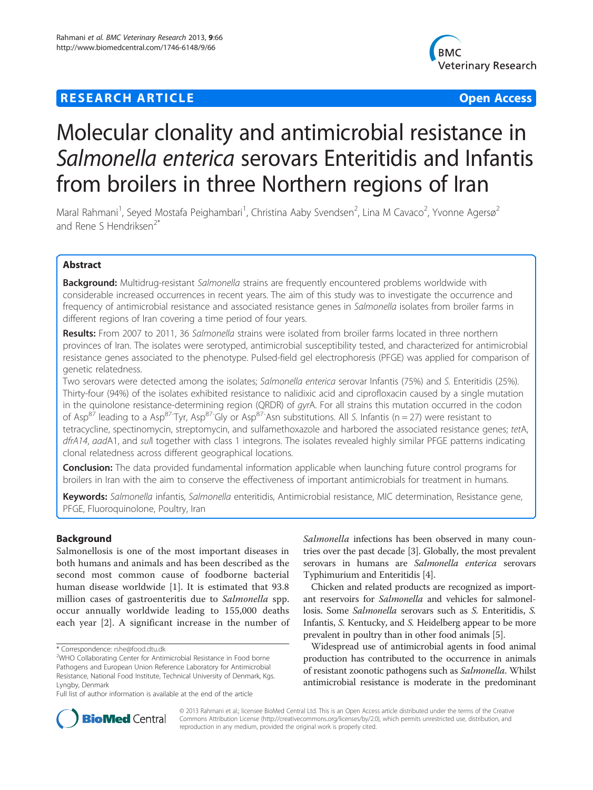# **RESEARCH ARTICLE Example 2014 12:30 The Contract of Contract ACCESS**



# Molecular clonality and antimicrobial resistance in Salmonella enterica serovars Enteritidis and Infantis from broilers in three Northern regions of Iran

Maral Rahmani<sup>1</sup>, Seyed Mostafa Peighambari<sup>1</sup>, Christina Aaby Svendsen<sup>2</sup>, Lina M Cavaco<sup>2</sup>, Yvonne Agersø<sup>2</sup> and Rene S Hendriksen<sup>2\*</sup>

# Abstract

**Background:** Multidrug-resistant Salmonella strains are frequently encountered problems worldwide with considerable increased occurrences in recent years. The aim of this study was to investigate the occurrence and frequency of antimicrobial resistance and associated resistance genes in Salmonella isolates from broiler farms in different regions of Iran covering a time period of four years.

Results: From 2007 to 2011, 36 Salmonella strains were isolated from broiler farms located in three northern provinces of Iran. The isolates were serotyped, antimicrobial susceptibility tested, and characterized for antimicrobial resistance genes associated to the phenotype. Pulsed-field gel electrophoresis (PFGE) was applied for comparison of genetic relatedness.

Two serovars were detected among the isolates; Salmonella enterica serovar Infantis (75%) and S. Enteritidis (25%). Thirty-four (94%) of the isolates exhibited resistance to nalidixic acid and ciprofloxacin caused by a single mutation in the quinolone resistance-determining region (QRDR) of gyrA. For all strains this mutation occurred in the codon of Asp<sup>87</sup> leading to a Asp<sup>87-</sup>Tyr, Asp<sup>87-</sup>Gly or Asp<sup>87-</sup>Asn substitutions. All S. Infantis (n = 27) were resistant to tetracycline, spectinomycin, streptomycin, and sulfamethoxazole and harbored the associated resistance genes; tetA, dfrA14, aadA1, and sull together with class 1 integrons. The isolates revealed highly similar PFGE patterns indicating clonal relatedness across different geographical locations.

**Conclusion:** The data provided fundamental information applicable when launching future control programs for broilers in Iran with the aim to conserve the effectiveness of important antimicrobials for treatment in humans.

Keywords: Salmonella infantis, Salmonella enteritidis, Antimicrobial resistance, MIC determination, Resistance gene, PFGE, Fluoroquinolone, Poultry, Iran

# Background

Salmonellosis is one of the most important diseases in both humans and animals and has been described as the second most common cause of foodborne bacterial human disease worldwide [\[1](#page-7-0)]. It is estimated that 93.8 million cases of gastroenteritis due to Salmonella spp. occur annually worldwide leading to 155,000 deaths each year [[2\]](#page-7-0). A significant increase in the number of Salmonella infections has been observed in many countries over the past decade [[3](#page-7-0)]. Globally, the most prevalent serovars in humans are Salmonella enterica serovars Typhimurium and Enteritidis [[4](#page-7-0)].

Chicken and related products are recognized as important reservoirs for Salmonella and vehicles for salmonellosis. Some Salmonella serovars such as S. Enteritidis, S. Infantis, S. Kentucky, and S. Heidelberg appear to be more prevalent in poultry than in other food animals [[5\]](#page-7-0).

Widespread use of antimicrobial agents in food animal production has contributed to the occurrence in animals of resistant zoonotic pathogens such as Salmonella. Whilst antimicrobial resistance is moderate in the predominant



© 2013 Rahmani et al.; licensee BioMed Central Ltd. This is an Open Access article distributed under the terms of the Creative Commons Attribution License [\(http://creativecommons.org/licenses/by/2.0\)](http://creativecommons.org/licenses/by/2.0), which permits unrestricted use, distribution, and reproduction in any medium, provided the original work is properly cited.

<sup>\*</sup> Correspondence: [rshe@food.dtu.dk](mailto:rshe@food.dtu.dk) <sup>2</sup>

<sup>&</sup>lt;sup>2</sup>WHO Collaborating Center for Antimicrobial Resistance in Food borne Pathogens and European Union Reference Laboratory for Antimicrobial Resistance, National Food Institute, Technical University of Denmark, Kgs. Lyngby, Denmark

Full list of author information is available at the end of the article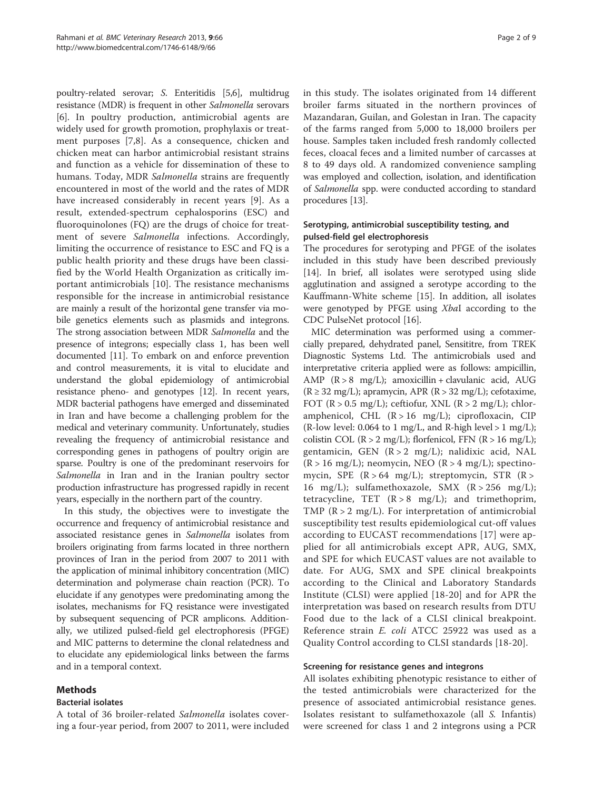poultry-related serovar; S. Enteritidis [[5,6](#page-7-0)], multidrug resistance (MDR) is frequent in other Salmonella serovars [[6\]](#page-7-0). In poultry production, antimicrobial agents are widely used for growth promotion, prophylaxis or treatment purposes [[7,8](#page-7-0)]. As a consequence, chicken and chicken meat can harbor antimicrobial resistant strains and function as a vehicle for dissemination of these to humans. Today, MDR Salmonella strains are frequently encountered in most of the world and the rates of MDR have increased considerably in recent years [[9\]](#page-7-0). As a result, extended-spectrum cephalosporins (ESC) and fluoroquinolones (FQ) are the drugs of choice for treatment of severe Salmonella infections. Accordingly, limiting the occurrence of resistance to ESC and FQ is a public health priority and these drugs have been classified by the World Health Organization as critically important antimicrobials [\[10\]](#page-7-0). The resistance mechanisms responsible for the increase in antimicrobial resistance are mainly a result of the horizontal gene transfer via mobile genetics elements such as plasmids and integrons. The strong association between MDR Salmonella and the presence of integrons; especially class 1, has been well documented [\[11](#page-7-0)]. To embark on and enforce prevention and control measurements, it is vital to elucidate and understand the global epidemiology of antimicrobial resistance pheno- and genotypes [\[12](#page-7-0)]. In recent years, MDR bacterial pathogens have emerged and disseminated in Iran and have become a challenging problem for the medical and veterinary community. Unfortunately, studies revealing the frequency of antimicrobial resistance and corresponding genes in pathogens of poultry origin are sparse. Poultry is one of the predominant reservoirs for Salmonella in Iran and in the Iranian poultry sector production infrastructure has progressed rapidly in recent years, especially in the northern part of the country.

In this study, the objectives were to investigate the occurrence and frequency of antimicrobial resistance and associated resistance genes in Salmonella isolates from broilers originating from farms located in three northern provinces of Iran in the period from 2007 to 2011 with the application of minimal inhibitory concentration (MIC) determination and polymerase chain reaction (PCR). To elucidate if any genotypes were predominating among the isolates, mechanisms for FQ resistance were investigated by subsequent sequencing of PCR amplicons. Additionally, we utilized pulsed-field gel electrophoresis (PFGE) and MIC patterns to determine the clonal relatedness and to elucidate any epidemiological links between the farms and in a temporal context.

# Methods

# Bacterial isolates

A total of 36 broiler-related Salmonella isolates covering a four-year period, from 2007 to 2011, were included in this study. The isolates originated from 14 different broiler farms situated in the northern provinces of Mazandaran, Guilan, and Golestan in Iran. The capacity of the farms ranged from 5,000 to 18,000 broilers per house. Samples taken included fresh randomly collected feces, cloacal feces and a limited number of carcasses at 8 to 49 days old. A randomized convenience sampling was employed and collection, isolation, and identification of Salmonella spp. were conducted according to standard procedures [[13](#page-7-0)].

# Serotyping, antimicrobial susceptibility testing, and pulsed-field gel electrophoresis

The procedures for serotyping and PFGE of the isolates included in this study have been described previously [[14\]](#page-7-0). In brief, all isolates were serotyped using slide agglutination and assigned a serotype according to the Kauffmann-White scheme [[15\]](#page-7-0). In addition, all isolates were genotyped by PFGE using XbaI according to the CDC PulseNet protocol [\[16](#page-7-0)].

MIC determination was performed using a commercially prepared, dehydrated panel, Sensititre, from TREK Diagnostic Systems Ltd. The antimicrobials used and interpretative criteria applied were as follows: ampicillin, AMP (R > 8 mg/L); amoxicillin + clavulanic acid, AUG  $(R \geq 32 \text{ mg/L})$ ; apramycin, APR  $(R > 32 \text{ mg/L})$ ; cefotaxime, FOT ( $R > 0.5$  mg/L); ceftiofur, XNL ( $R > 2$  mg/L); chloramphenicol, CHL  $(R > 16$  mg/L); ciprofloxacin, CIP (R-low level: 0.064 to 1 mg/L, and R-high level  $> 1$  mg/L); colistin COL  $(R > 2 mg/L)$ ; florfenicol, FFN  $(R > 16 mg/L)$ ; gentamicin, GEN  $(R > 2$  mg/L); nalidixic acid, NAL  $(R > 16$  mg/L); neomycin, NEO  $(R > 4$  mg/L); spectinomycin, SPE  $(R > 64$  mg/L); streptomycin, STR  $(R > 64$ 16 mg/L); sulfamethoxazole, SMX  $(R > 256$  mg/L); tetracycline, TET  $(R > 8 \text{ mg/L})$ ; and trimethoprim, TMP  $(R > 2$  mg/L). For interpretation of antimicrobial susceptibility test results epidemiological cut-off values according to EUCAST recommendations [[17\]](#page-7-0) were applied for all antimicrobials except APR, AUG, SMX, and SPE for which EUCAST values are not available to date. For AUG, SMX and SPE clinical breakpoints according to the Clinical and Laboratory Standards Institute (CLSI) were applied [[18](#page-7-0)-[20](#page-7-0)] and for APR the interpretation was based on research results from DTU Food due to the lack of a CLSI clinical breakpoint. Reference strain E. coli ATCC 25922 was used as a Quality Control according to CLSI standards [[18-20\]](#page-7-0).

# Screening for resistance genes and integrons

All isolates exhibiting phenotypic resistance to either of the tested antimicrobials were characterized for the presence of associated antimicrobial resistance genes. Isolates resistant to sulfamethoxazole (all S. Infantis) were screened for class 1 and 2 integrons using a PCR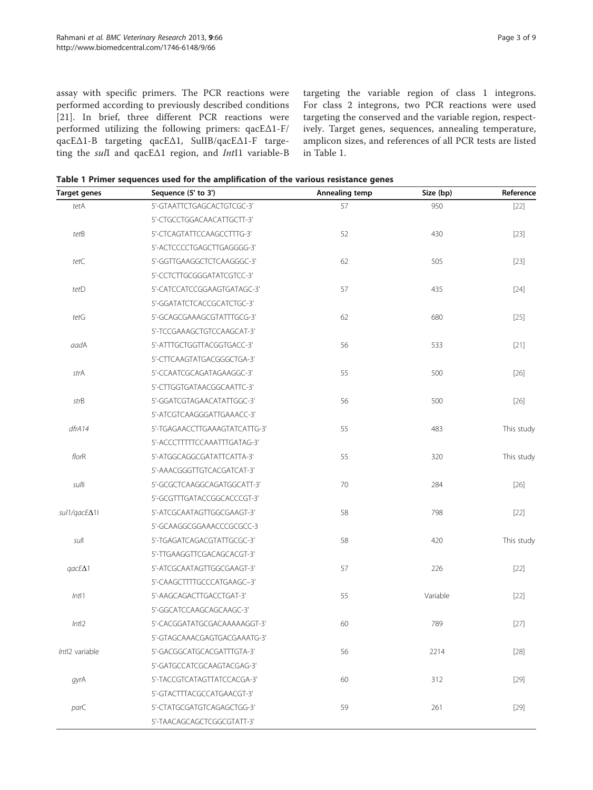assay with specific primers. The PCR reactions were performed according to previously described conditions [[21\]](#page-7-0). In brief, three different PCR reactions were performed utilizing the following primers: qacEΔ1-F/ qacEΔ1-B targeting qacEΔ1, SulIB/qacEΔ1-F targeting the sulI and qacEΔ1 region, and IntI1 variable-B targeting the variable region of class 1 integrons. For class 2 integrons, two PCR reactions were used targeting the conserved and the variable region, respectively. Target genes, sequences, annealing temperature, amplicon sizes, and references of all PCR tests are listed in Table 1.

| Target genes                                | Sequence (5' to 3')           | Annealing temp | Size (bp) | Reference  |
|---------------------------------------------|-------------------------------|----------------|-----------|------------|
| tetA                                        | 5'-GTAATTCTGAGCACTGTCGC-3'    | 57             | 950       | $[22]$     |
|                                             | 5'-CTGCCTGGACAACATTGCTT-3'    |                |           |            |
| tetB                                        | 5'-CTCAGTATTCCAAGCCTTTG-3'    | 52             | 430       | $[23]$     |
|                                             | 5'-ACTCCCCTGAGCTTGAGGGG-3'    |                |           |            |
| tetC                                        | 5'-GGTTGAAGGCTCTCAAGGGC-3'    | 62             | 505       | $[23]$     |
|                                             | 5'-CCTCTTGCGGGATATCGTCC-3'    |                |           |            |
| tetD                                        | 5'-CATCCATCCGGAAGTGATAGC-3'   | 57             | 435       | $[24]$     |
|                                             | 5'-GGATATCTCACCGCATCTGC-3'    |                |           |            |
| tetG                                        | 5'-GCAGCGAAAGCGTATTTGCG-3'    | 62             | 680       | $[25]$     |
|                                             | 5'-TCCGAAAGCTGTCCAAGCAT-3'    |                |           |            |
| aadA                                        | 5'-ATTTGCTGGTTACGGTGACC-3'    | 56             | 533       | $[21]$     |
|                                             | 5'-CTTCAAGTATGACGGGCTGA-3'    |                |           |            |
| strA                                        | 5'-CCAATCGCAGATAGAAGGC-3'     | 55             | 500       | $[26]$     |
|                                             | 5'-CTTGGTGATAACGGCAATTC-3'    |                |           |            |
| strB                                        | 5'-GGATCGTAGAACATATTGGC-3'    | 56             | 500       | $[26]$     |
|                                             | 5'-ATCGTCAAGGGATTGAAACC-3'    |                |           |            |
| dfrA14                                      | 5'-TGAGAACCTTGAAAGTATCATTG-3' | 55             | 483       | This study |
|                                             | 5'-ACCCTTTTTCCAAATTTGATAG-3'  |                |           |            |
| florR                                       | 5'-ATGGCAGGCGATATTCATTA-3'    | 55             | 320       | This study |
|                                             | 5'-AAACGGGTTGTCACGATCAT-3'    |                |           |            |
| sulll                                       | 5'-GCGCTCAAGGCAGATGGCATT-3'   | 70             | 284       | $[26]$     |
|                                             | 5'-GCGTTTGATACCGGCACCCGT-3'   |                |           |            |
| sul1/qacE∆11                                | 5'-ATCGCAATAGTTGGCGAAGT-3'    | 58             | 798       | $[22]$     |
|                                             | 5'-GCAAGGCGGAAACCCGCGCC-3     |                |           |            |
| sull                                        | 5'-TGAGATCAGACGTATTGCGC-3'    | 58             | 420       | This study |
|                                             | 5'-TTGAAGGTTCGACAGCACGT-3'    |                |           |            |
| 5'-ATCGCAATAGTTGGCGAAGT-3'<br>$qacE\Delta1$ | 57                            | 226            | $[22]$    |            |
|                                             | 5'-CAAGCTTTTGCCCATGAAGC-3'    |                |           |            |
| Int11                                       | 5'-AAGCAGACTTGACCTGAT-3'      | 55             | Variable  | $[22]$     |
|                                             | 5'-GGCATCCAAGCAGCAAGC-3'      |                |           |            |
| Int12                                       | 5'-CACGGATATGCGACAAAAAGGT-3'  | 60             | 789       | $[27]$     |
|                                             | 5'-GTAGCAAACGAGTGACGAAATG-3'  |                |           |            |
| Intl2 variable                              | 5'-GACGGCATGCACGATTTGTA-3'    | 56             | 2214      | $[28]$     |
|                                             | 5'-GATGCCATCGCAAGTACGAG-3'    |                |           |            |
| gyrA                                        | 5'-TACCGTCATAGTTATCCACGA-3'   | 60             | 312       | $[29]$     |
|                                             | 5'-GTACTTTACGCCATGAACGT-3'    |                |           |            |
| parC                                        | 5'-CTATGCGATGTCAGAGCTGG-3'    | 59             | 261       | $[29]$     |
|                                             | 5'-TAACAGCAGCTCGGCGTATT-3'    |                |           |            |

Table 1 Primer sequences used for the amplification of the various resistance genes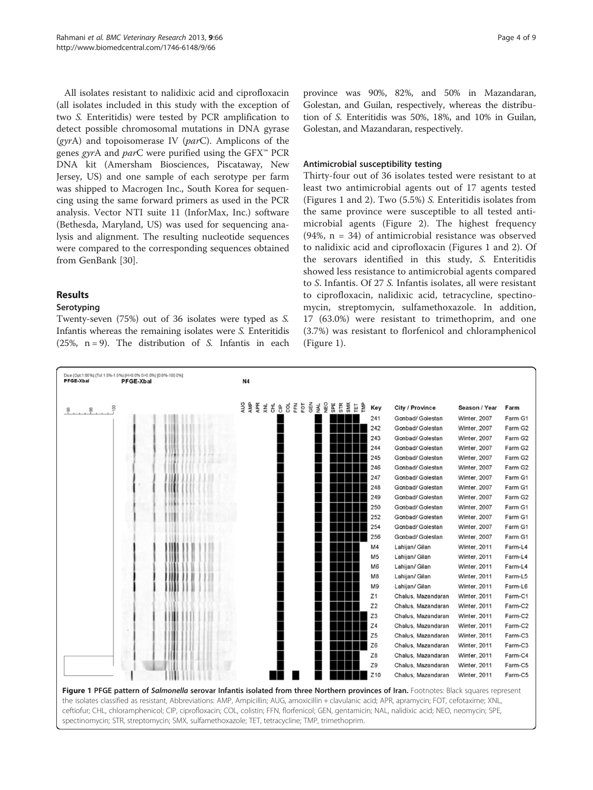<span id="page-3-0"></span>All isolates resistant to nalidixic acid and ciprofloxacin (all isolates included in this study with the exception of two S. Enteritidis) were tested by PCR amplification to detect possible chromosomal mutations in DNA gyrase (gyrA) and topoisomerase IV ( $parC$ ). Amplicons of the genes gyrA and parC were purified using the  $GFX^{\omega}$  PCR DNA kit (Amersham Biosciences, Piscataway, New Jersey, US) and one sample of each serotype per farm was shipped to Macrogen Inc., South Korea for sequencing using the same forward primers as used in the PCR analysis. Vector NTI suite 11 (InforMax, Inc.) software (Bethesda, Maryland, US) was used for sequencing analysis and alignment. The resulting nucleotide sequences were compared to the corresponding sequences obtained from GenBank [\[30](#page-8-0)].

# Results

# Serotyping

Twenty-seven (75%) out of 36 isolates were typed as S. Infantis whereas the remaining isolates were S. Enteritidis (25%,  $n = 9$ ). The distribution of S. Infantis in each province was 90%, 82%, and 50% in Mazandaran, Golestan, and Guilan, respectively, whereas the distribution of S. Enteritidis was 50%, 18%, and 10% in Guilan, Golestan, and Mazandaran, respectively.

#### Antimicrobial susceptibility testing

Thirty-four out of 36 isolates tested were resistant to at least two antimicrobial agents out of 17 agents tested (Figures 1 and [2\)](#page-4-0). Two (5.5%) S. Enteritidis isolates from the same province were susceptible to all tested antimicrobial agents (Figure [2\)](#page-4-0). The highest frequency (94%, n = 34) of antimicrobial resistance was observed to nalidixic acid and ciprofloxacin (Figures 1 and [2](#page-4-0)). Of the serovars identified in this study, S. Enteritidis showed less resistance to antimicrobial agents compared to S. Infantis. Of 27 S. Infantis isolates, all were resistant to ciprofloxacin, nalidixic acid, tetracycline, spectinomycin, streptomycin, sulfamethoxazole. In addition, 17 (63.0%) were resistant to trimethoprim, and one (3.7%) was resistant to florfenicol and chloramphenicol (Figure 1).

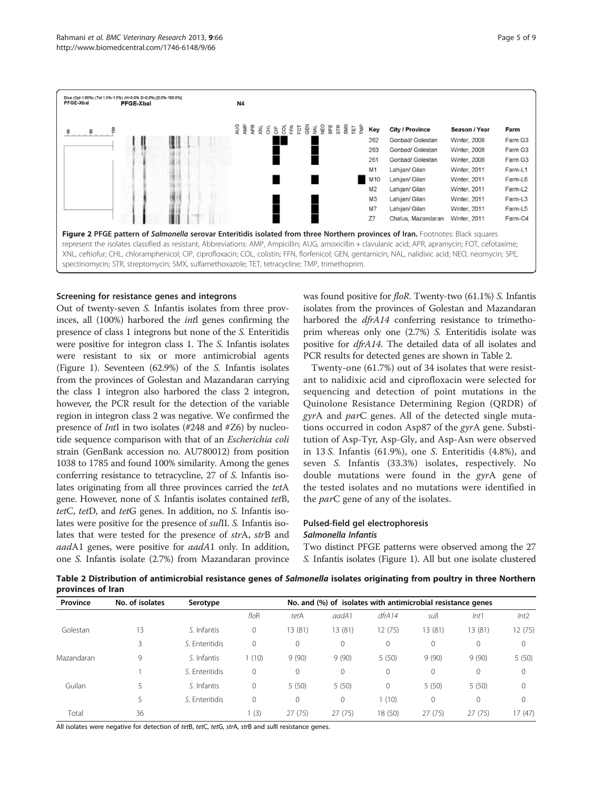<span id="page-4-0"></span>

#### Screening for resistance genes and integrons

Out of twenty-seven S. Infantis isolates from three provinces, all (100%) harbored the intl genes confirming the presence of class 1 integrons but none of the S. Enteritidis were positive for integron class 1. The S. Infantis isolates were resistant to six or more antimicrobial agents (Figure [1\)](#page-3-0). Seventeen (62.9%) of the S. Infantis isolates from the provinces of Golestan and Mazandaran carrying the class 1 integron also harbored the class 2 integron, however, the PCR result for the detection of the variable region in integron class 2 was negative. We confirmed the presence of IntI in two isolates (#248 and #Z6) by nucleotide sequence comparison with that of an Escherichia coli strain (GenBank accession no. AU780012) from position 1038 to 1785 and found 100% similarity. Among the genes conferring resistance to tetracycline, 27 of S. Infantis isolates originating from all three provinces carried the tetA gene. However, none of S. Infantis isolates contained tetB, tetC, tetD, and tetG genes. In addition, no S. Infantis isolates were positive for the presence of sulII. S. Infantis isolates that were tested for the presence of strA, strB and aadA1 genes, were positive for aadA1 only. In addition, one S. Infantis isolate (2.7%) from Mazandaran province was found positive for floR. Twenty-two (61.1%) S. Infantis isolates from the provinces of Golestan and Mazandaran harbored the *dfrA14* conferring resistance to trimethoprim whereas only one (2.7%) S. Enteritidis isolate was positive for dfrA14. The detailed data of all isolates and PCR results for detected genes are shown in Table 2.

Twenty-one (61.7%) out of 34 isolates that were resistant to nalidixic acid and ciprofloxacin were selected for sequencing and detection of point mutations in the Quinolone Resistance Determining Region (QRDR) of gyrA and parC genes. All of the detected single mutations occurred in codon Asp87 of the gyrA gene. Substitution of Asp-Tyr, Asp-Gly, and Asp-Asn were observed in 13 S. Infantis (61.9%), one S. Enteritidis (4.8%), and seven S. Infantis (33.3%) isolates, respectively. No double mutations were found in the gyrA gene of the tested isolates and no mutations were identified in the *par*C gene of any of the isolates.

#### Pulsed-field gel electrophoresis Salmonella Infantis

Two distinct PFGE patterns were observed among the 27 S. Infantis isolates (Figure [1](#page-3-0)). All but one isolate clustered

Table 2 Distribution of antimicrobial resistance genes of Salmonella isolates originating from poultry in three Northern provinces of Iran

| Province   | No. of isolates | Serotype       | No. and (%) of isolates with antimicrobial resistance genes |         |         |         |             |              |              |
|------------|-----------------|----------------|-------------------------------------------------------------|---------|---------|---------|-------------|--------------|--------------|
|            |                 |                | floR                                                        | tetA    | aadA1   | dfrA14  | sull        | Int1         | Int2         |
| Golestan   | 13              | S. Infantis    | 0                                                           | 13 (81) | 13 (81) | 12 (75) | 13 (81)     | 13 (81)      | 12(75)       |
|            | 3               | S. Enteritidis | 0                                                           | 0       | 0       | 0       | $\mathbf 0$ | $\mathbf{0}$ | 0            |
| Mazandaran | 9               | S. Infantis    | 1(10)                                                       | 9(90)   | 9(90)   | 5(50)   | 9(90)       | 9(90)        | 5(50)        |
|            |                 | S. Enteritidis | 0                                                           | 0       | 0       | 0       | $\mathbf 0$ | $\mathbf{0}$ | $\mathbf{0}$ |
| Guilan     |                 | S. Infantis    | 0                                                           | 5(50)   | 5(50)   | 0       | 5(50)       | 5(50)        | 0            |
|            |                 | S. Enteritidis | 0                                                           | 0       | 0       | (10)    | $\mathbf 0$ | $\mathbf{0}$ | 0            |
| Total      | 36              |                | (3)                                                         | 27(75)  | 27(75)  | 18 (50) | 27(75)      | 27(75)       | 17(47)       |

All isolates were negative for detection of tetB, tetC, tetG, strA, strB and sull resistance genes.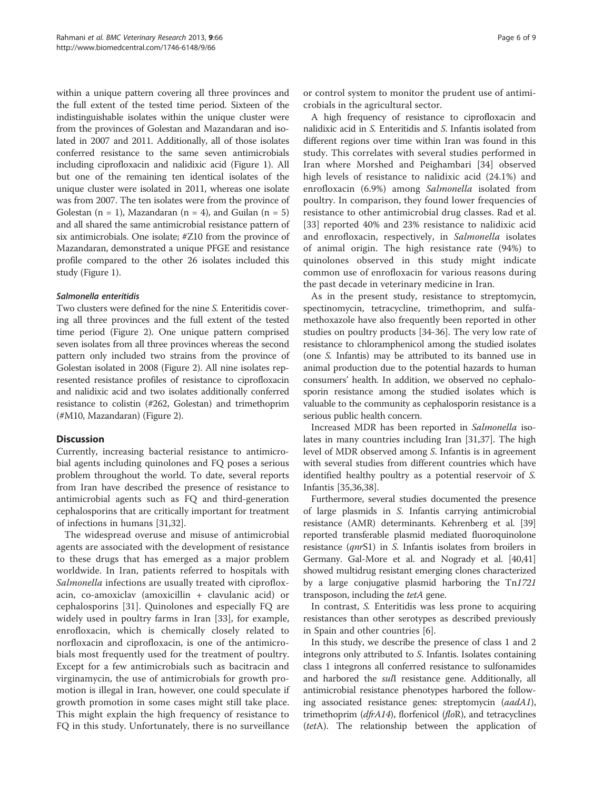within a unique pattern covering all three provinces and the full extent of the tested time period. Sixteen of the indistinguishable isolates within the unique cluster were from the provinces of Golestan and Mazandaran and isolated in 2007 and 2011. Additionally, all of those isolates conferred resistance to the same seven antimicrobials including ciprofloxacin and nalidixic acid (Figure [1](#page-3-0)). All but one of the remaining ten identical isolates of the unique cluster were isolated in 2011, whereas one isolate was from 2007. The ten isolates were from the province of Golestan (n = 1), Mazandaran (n = 4), and Guilan (n = 5) and all shared the same antimicrobial resistance pattern of six antimicrobials. One isolate; #Z10 from the province of Mazandaran, demonstrated a unique PFGE and resistance profile compared to the other 26 isolates included this study (Figure [1](#page-3-0)).

#### Salmonella enteritidis

Two clusters were defined for the nine S. Enteritidis covering all three provinces and the full extent of the tested time period (Figure [2](#page-4-0)). One unique pattern comprised seven isolates from all three provinces whereas the second pattern only included two strains from the province of Golestan isolated in 2008 (Figure [2](#page-4-0)). All nine isolates represented resistance profiles of resistance to ciprofloxacin and nalidixic acid and two isolates additionally conferred resistance to colistin (#262, Golestan) and trimethoprim (#M10, Mazandaran) (Figure [2](#page-4-0)).

# **Discussion**

Currently, increasing bacterial resistance to antimicrobial agents including quinolones and FQ poses a serious problem throughout the world. To date, several reports from Iran have described the presence of resistance to antimicrobial agents such as FQ and third-generation cephalosporins that are critically important for treatment of infections in humans [[31,32\]](#page-8-0).

The widespread overuse and misuse of antimicrobial agents are associated with the development of resistance to these drugs that has emerged as a major problem worldwide. In Iran, patients referred to hospitals with Salmonella infections are usually treated with ciprofloxacin, co-amoxiclav (amoxicillin + clavulanic acid) or cephalosporins [\[31](#page-8-0)]. Quinolones and especially FQ are widely used in poultry farms in Iran [[33\]](#page-8-0), for example, enrofloxacin, which is chemically closely related to norfloxacin and ciprofloxacin, is one of the antimicrobials most frequently used for the treatment of poultry. Except for a few antimicrobials such as bacitracin and virginamycin, the use of antimicrobials for growth promotion is illegal in Iran, however, one could speculate if growth promotion in some cases might still take place. This might explain the high frequency of resistance to FQ in this study. Unfortunately, there is no surveillance

or control system to monitor the prudent use of antimicrobials in the agricultural sector.

A high frequency of resistance to ciprofloxacin and nalidixic acid in S. Enteritidis and S. Infantis isolated from different regions over time within Iran was found in this study. This correlates with several studies performed in Iran where Morshed and Peighambari [[34\]](#page-8-0) observed high levels of resistance to nalidixic acid (24.1%) and enrofloxacin (6.9%) among Salmonella isolated from poultry. In comparison, they found lower frequencies of resistance to other antimicrobial drug classes. Rad et al. [[33\]](#page-8-0) reported 40% and 23% resistance to nalidixic acid and enrofloxacin, respectively, in Salmonella isolates of animal origin. The high resistance rate (94%) to quinolones observed in this study might indicate common use of enrofloxacin for various reasons during the past decade in veterinary medicine in Iran.

As in the present study, resistance to streptomycin, spectinomycin, tetracycline, trimethoprim, and sulfamethoxazole have also frequently been reported in other studies on poultry products [[34-36](#page-8-0)]. The very low rate of resistance to chloramphenicol among the studied isolates (one S. Infantis) may be attributed to its banned use in animal production due to the potential hazards to human consumers' health. In addition, we observed no cephalosporin resistance among the studied isolates which is valuable to the community as cephalosporin resistance is a serious public health concern.

Increased MDR has been reported in Salmonella isolates in many countries including Iran [\[31,37](#page-8-0)]. The high level of MDR observed among S. Infantis is in agreement with several studies from different countries which have identified healthy poultry as a potential reservoir of S. Infantis [[35,36,38](#page-8-0)].

Furthermore, several studies documented the presence of large plasmids in S. Infantis carrying antimicrobial resistance (AMR) determinants. Kehrenberg et al. [[39](#page-8-0)] reported transferable plasmid mediated fluoroquinolone resistance (qnrS1) in S. Infantis isolates from broilers in Germany. Gal-More et al. and Nogrady et al. [\[40,41](#page-8-0)] showed multidrug resistant emerging clones characterized by a large conjugative plasmid harboring the Tn1721 transposon, including the *tetA* gene.

In contrast, S. Enteritidis was less prone to acquiring resistances than other serotypes as described previously in Spain and other countries [[6\]](#page-7-0).

In this study, we describe the presence of class 1 and 2 integrons only attributed to S. Infantis. Isolates containing class 1 integrons all conferred resistance to sulfonamides and harbored the *sul*I resistance gene. Additionally, all antimicrobial resistance phenotypes harbored the following associated resistance genes: streptomycin (aadA1), trimethoprim ( $dfrA14$ ), florfenicol ( $floR$ ), and tetracyclines (tetA). The relationship between the application of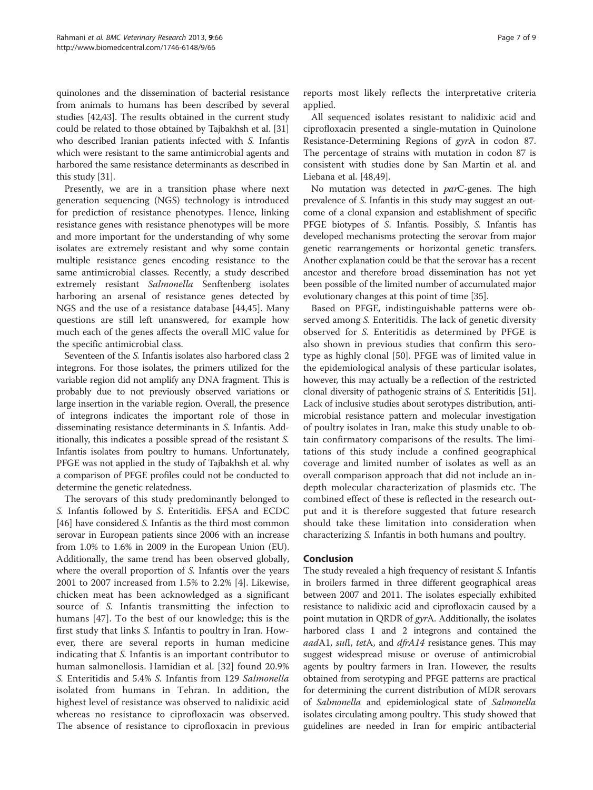quinolones and the dissemination of bacterial resistance from animals to humans has been described by several studies [[42,43](#page-8-0)]. The results obtained in the current study could be related to those obtained by Tajbakhsh et al. [[31](#page-8-0)] who described Iranian patients infected with S. Infantis which were resistant to the same antimicrobial agents and harbored the same resistance determinants as described in this study [[31](#page-8-0)].

Presently, we are in a transition phase where next generation sequencing (NGS) technology is introduced for prediction of resistance phenotypes. Hence, linking resistance genes with resistance phenotypes will be more and more important for the understanding of why some isolates are extremely resistant and why some contain multiple resistance genes encoding resistance to the same antimicrobial classes. Recently, a study described extremely resistant Salmonella Senftenberg isolates harboring an arsenal of resistance genes detected by NGS and the use of a resistance database [[44](#page-8-0),[45](#page-8-0)]. Many questions are still left unanswered, for example how much each of the genes affects the overall MIC value for the specific antimicrobial class.

Seventeen of the S. Infantis isolates also harbored class 2 integrons. For those isolates, the primers utilized for the variable region did not amplify any DNA fragment. This is probably due to not previously observed variations or large insertion in the variable region. Overall, the presence of integrons indicates the important role of those in disseminating resistance determinants in S. Infantis. Additionally, this indicates a possible spread of the resistant S. Infantis isolates from poultry to humans. Unfortunately, PFGE was not applied in the study of Tajbakhsh et al. why a comparison of PFGE profiles could not be conducted to determine the genetic relatedness.

The serovars of this study predominantly belonged to S. Infantis followed by S. Enteritidis. EFSA and ECDC [[46\]](#page-8-0) have considered S. Infantis as the third most common serovar in European patients since 2006 with an increase from 1.0% to 1.6% in 2009 in the European Union (EU). Additionally, the same trend has been observed globally, where the overall proportion of S. Infantis over the years 2001 to 2007 increased from 1.5% to 2.2% [[4](#page-7-0)]. Likewise, chicken meat has been acknowledged as a significant source of S. Infantis transmitting the infection to humans [[47\]](#page-8-0). To the best of our knowledge; this is the first study that links S. Infantis to poultry in Iran. However, there are several reports in human medicine indicating that S. Infantis is an important contributor to human salmonellosis. Hamidian et al. [[32\]](#page-8-0) found 20.9% S. Enteritidis and 5.4% S. Infantis from 129 Salmonella isolated from humans in Tehran. In addition, the highest level of resistance was observed to nalidixic acid whereas no resistance to ciprofloxacin was observed. The absence of resistance to ciprofloxacin in previous reports most likely reflects the interpretative criteria applied.

All sequenced isolates resistant to nalidixic acid and ciprofloxacin presented a single-mutation in Quinolone Resistance-Determining Regions of gyrA in codon 87. The percentage of strains with mutation in codon 87 is consistent with studies done by San Martin et al. and Liebana et al. [\[48,49\]](#page-8-0).

No mutation was detected in *par*C-genes. The high prevalence of S. Infantis in this study may suggest an outcome of a clonal expansion and establishment of specific PFGE biotypes of S. Infantis. Possibly, S. Infantis has developed mechanisms protecting the serovar from major genetic rearrangements or horizontal genetic transfers. Another explanation could be that the serovar has a recent ancestor and therefore broad dissemination has not yet been possible of the limited number of accumulated major evolutionary changes at this point of time [\[35\]](#page-8-0).

Based on PFGE, indistinguishable patterns were observed among S. Enteritidis. The lack of genetic diversity observed for S. Enteritidis as determined by PFGE is also shown in previous studies that confirm this serotype as highly clonal [\[50](#page-8-0)]. PFGE was of limited value in the epidemiological analysis of these particular isolates, however, this may actually be a reflection of the restricted clonal diversity of pathogenic strains of S. Enteritidis [[51](#page-8-0)]. Lack of inclusive studies about serotypes distribution, antimicrobial resistance pattern and molecular investigation of poultry isolates in Iran, make this study unable to obtain confirmatory comparisons of the results. The limitations of this study include a confined geographical coverage and limited number of isolates as well as an overall comparison approach that did not include an indepth molecular characterization of plasmids etc. The combined effect of these is reflected in the research output and it is therefore suggested that future research should take these limitation into consideration when characterizing S. Infantis in both humans and poultry.

# Conclusion

The study revealed a high frequency of resistant S. Infantis in broilers farmed in three different geographical areas between 2007 and 2011. The isolates especially exhibited resistance to nalidixic acid and ciprofloxacin caused by a point mutation in QRDR of *gyrA*. Additionally, the isolates harbored class 1 and 2 integrons and contained the aadA1, sull, tetA, and dfrA14 resistance genes. This may suggest widespread misuse or overuse of antimicrobial agents by poultry farmers in Iran. However, the results obtained from serotyping and PFGE patterns are practical for determining the current distribution of MDR serovars of Salmonella and epidemiological state of Salmonella isolates circulating among poultry. This study showed that guidelines are needed in Iran for empiric antibacterial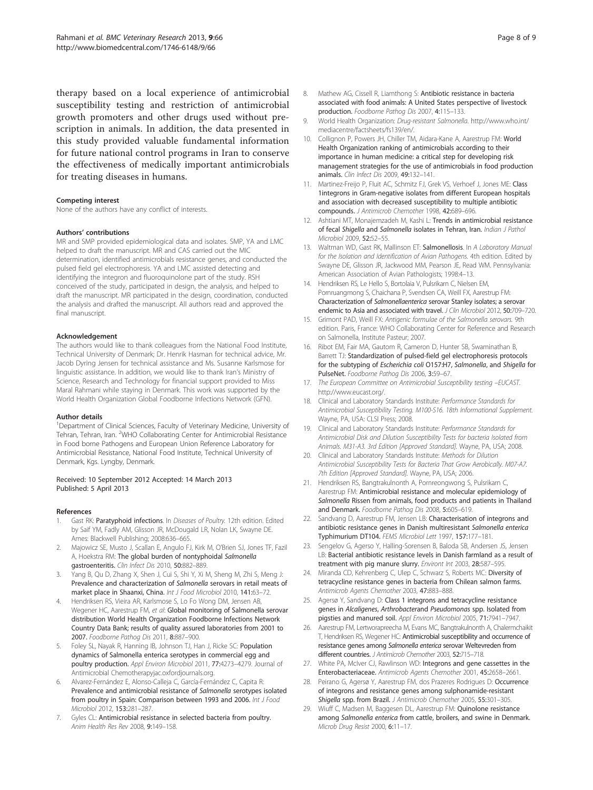<span id="page-7-0"></span>therapy based on a local experience of antimicrobial susceptibility testing and restriction of antimicrobial growth promoters and other drugs used without prescription in animals. In addition, the data presented in this study provided valuable fundamental information for future national control programs in Iran to conserve the effectiveness of medically important antimicrobials for treating diseases in humans.

#### Competing interest

None of the authors have any conflict of interests.

#### Authors' contributions

MR and SMP provided epidemiological data and isolates. SMP, YA and LMC helped to draft the manuscript. MR and CAS carried out the MIC determination, identified antimicrobials resistance genes, and conducted the pulsed field gel electrophoresis. YA and LMC assisted detecting and identifying the integron and fluoroquinolone part of the study. RSH conceived of the study, participated in design, the analysis, and helped to draft the manuscript. MR participated in the design, coordination, conducted the analysis and drafted the manuscript. All authors read and approved the final manuscript.

#### Acknowledgement

The authors would like to thank colleagues from the National Food Institute, Technical University of Denmark; Dr. Henrik Hasman for technical advice, Mr. Jacob Dyring Jensen for technical assistance and Ms. Susanne Karlsmose for linguistic assistance. In addition, we would like to thank Iran's Ministry of Science, Research and Technology for financial support provided to Miss Maral Rahmani while staying in Denmark. This work was supported by the World Health Organization Global Foodborne Infections Network (GFN).

#### Author details

<sup>1</sup>Department of Clinical Sciences, Faculty of Veterinary Medicine, University of Tehran, Tehran, Iran. <sup>2</sup>WHO Collaborating Center for Antimicrobial Resistance in Food borne Pathogens and European Union Reference Laboratory for Antimicrobial Resistance, National Food Institute, Technical University of Denmark, Kgs. Lyngby, Denmark.

#### Received: 10 September 2012 Accepted: 14 March 2013 Published: 5 April 2013

#### References

- Gast RK: Paratyphoid infections. In Diseases of Poultry. 12th edition. Edited by Saif YM, Fadly AM, Glisson JR, McDougald LR, Nolan LK, Swayne DE. Ames: Blackwell Publishing; 2008:636–665.
- 2. Majowicz SE, Musto J, Scallan E, Angulo FJ, Kirk M, O'Brien SJ, Jones TF, Fazil A, Hoekstra RM: The global burden of nontyphoidal Salmonella gastroenteritis. Clin Infect Dis 2010, 50:882-889.
- Yang B, Qu D, Zhang X, Shen J, Cui S, Shi Y, Xi M, Sheng M, Zhi S, Meng J: Prevalence and characterization of Salmonella serovars in retail meats of market place in Shaanxi, China. Int J Food Microbiol 2010, 141:63-72.
- 4. Hendriksen RS, Vieira AR, Karlsmose S, Lo Fo Wong DM, Jensen AB, Wegener HC, Aarestrup FM, et al: Global monitoring of Salmonella serovar distribution World Health Organization Foodborne Infections Network Country Data Bank; results of quality assured laboratories from 2001 to 2007. Foodborne Pathog Dis 2011, 8:887–900.
- 5. Foley SL, Nayak R, Hanning IB, Johnson TJ, Han J, Ricke SC: Population dynamics of Salmonella enterica serotypes in commercial egg and poultry production. Appl Environ Microbiol 2011, 77:4273-4279. Journal of Antimicrobial Chemotherapyjac.oxfordjournals.org.
- Alvarez-Fernández E, Alonso-Calleja C, García-Fernández C, Capita R: Prevalence and antimicrobial resistance of Salmonella serotypes isolated from poultry in Spain: Comparison between 1993 and 2006. Int J Food Microbiol 2012, 153:281–287.
- 7. Gyles CL: Antimicrobial resistance in selected bacteria from poultry. Anim Health Res Rev 2008, 9:149–158.
- 8. Mathew AG, Cissell R, Liamthong S: Antibiotic resistance in bacteria associated with food animals: A United States perspective of livestock production. Foodborne Pathog Dis 2007, 4:115–133.
- 9. World Health Organization: Drug-resistant Salmonella. [http://www.who.int/](http://www.who.int/mediacentre/factsheets/fs139/en/) [mediacentre/factsheets/fs139/en/](http://www.who.int/mediacentre/factsheets/fs139/en/).
- 10. Collignon P, Powers JH, Chiller TM, Aidara-Kane A, Aarestrup FM: World Health Organization ranking of antimicrobials according to their importance in human medicine: a critical step for developing risk management strategies for the use of antimicrobials in food production animals. Clin Infect Dis 2009, 49:132–141.
- 11. Martinez-Freijo P, Fluit AC, Schmitz FJ, Grek VS, Verhoef J, Jones ME: Class 1integrons in Gram-negative isolates from different European hospitals and association with decreased susceptibility to multiple antibiotic compounds. J Antimicrob Chemother 1998, 42:689–696.
- 12. Ashtiani MT, Monajemzadeh M, Kashi L: Trends in antimicrobial resistance of fecal Shigella and Salmonella isolates in Tehran, Iran. Indian J Pathol Microbiol 2009, 52:52–55.
- 13. Waltman WD, Gast RK, Mallinson ET: Salmonellosis. In A Laboratory Manual for the Isolation and Identification of Avian Pathogens. 4th edition. Edited by Swayne DE, Glisson JR, Jackwood MM, Pearson JE, Read WM. Pennsylvania: American Association of Avian Pathologists; 1998:4–13.
- 14. Hendriksen RS, Le Hello S, Bortolaia V, Pulsrikarn C, Nielsen EM, Pornruangmong S, Chaichana P, Svendsen CA, Weill FX, Aarestrup FM: Characterization of Salmonellaenterica serovar Stanley isolates; a serovar endemic to Asia and associated with travel. J Clin Microbiol 2012, 50:709-720.
- 15. Grimont PAD, Weill FX: Antigenic formulae of the Salmonella serovars. 9th edition. Paris, France: WHO Collaborating Center for Reference and Research on Salmonella, Institute Pasteur; 2007.
- 16. Ribot EM, Fair MA, Gautom R, Cameron D, Hunter SB, Swaminathan B, Barrett TJ: Standardization of pulsed-field gel electrophoresis protocols for the subtyping of Escherichia coli O157:H7, Salmonella, and Shigella for PulseNet. Foodborne Pathog Dis 2006, 3:59–67.
- 17. The European Committee on Antimicrobial Susceptibility testing -EUCAST. [http://www.eucast.org/.](http://www.eucast.org/)
- 18. Clinical and Laboratory Standards Institute: Performance Standards for Antimicrobial Susceptibility Testing. M100-S16. 18th Informational Supplement. Wayne, PA, USA: CLSI Press; 2008.
- 19. Clinical and Laboratory Standards Institute: Performance Standards for Antimicrobial Disk and Dilution Susceptibility Tests for bacteria Isolated from Animals. M31-A3. 3rd Edition [Approved Standard]. Wayne, PA, USA; 2008.
- 20. Clinical and Laboratory Standards Institute: Methods for Dilution Antimicrobial Susceptibility Tests for Bacteria That Grow Aerobically. M07-A7. 7th Edition [Approved Standard]. Wayne, PA, USA; 2006.
- 21. Hendriksen RS, Bangtrakulnonth A, Pornreongwong S, Pulsrikarn C, Aarestrup FM: Antimicrobial resistance and molecular epidemiology of Salmonella Rissen from animals, food products and patients in Thailand and Denmark. Foodborne Pathog Dis 2008, 5:605–619.
- 22. Sandvang D, Aarestrup FM, Jensen LB: Characterisation of integrons and antibiotic resistance genes in Danish multiresistant Salmonella enterica Typhimurium DT104. FEMS Microbiol Lett 1997, 157:177-181.
- 23. Sengelov G, Agerso Y, Halling-Sorensen B, Baloda SB, Andersen JS, Jensen LB: Bacterial antibiotic resistance levels in Danish farmland as a result of treatment with pig manure slurry. Environt Int 2003, 28:587–595.
- 24. Miranda CD, Kehrenberg C, Ulep C, Schwarz S, Roberts MC: Diversity of tetracycline resistance genes in bacteria from Chilean salmon farms. Antimicrob Agents Chemother 2003, 47:883–888.
- 25. Agersø Y, Sandvang D: Class 1 integrons and tetracycline resistance genes in Alcaligenes, Arthrobacterand Pseudomonas spp. Isolated from pigsties and manured soil. Appl Environ Microbiol 2005, 71:7941–7947.
- 26. Aarestrup FM, Lertworapreecha M, Evans MC, Bangtrakulnonth A, Chalermchaikit T, Hendriksen RS, Wegener HC: Antimicrobial susceptibility and occurrence of resistance genes among Salmonella enterica serovar Weltevreden from different countries. J Antimicrob Chemother 2003, 52:715-718.
- 27. White PA, McIver CJ, Rawlinson WD: Integrons and gene cassettes in the Enterobacteriaceae. Antimicrob Agents Chemother 2001, 45:2658–2661.
- 28. Peirano G, Agersø Y, Aarestrup FM, dos Prazeres Rodrigues D: Occurrence of integrons and resistance genes among sulphonamide-resistant Shigella spp. from Brazil. J Antimicrob Chemother 2005, 55:301-305.
- 29. Wiuff C, Madsen M, Baggesen DL, Aarestrup FM: Quinolone resistance among Salmonella enterica from cattle, broilers, and swine in Denmark. Microb Drug Resist 2000, 6:11–17.